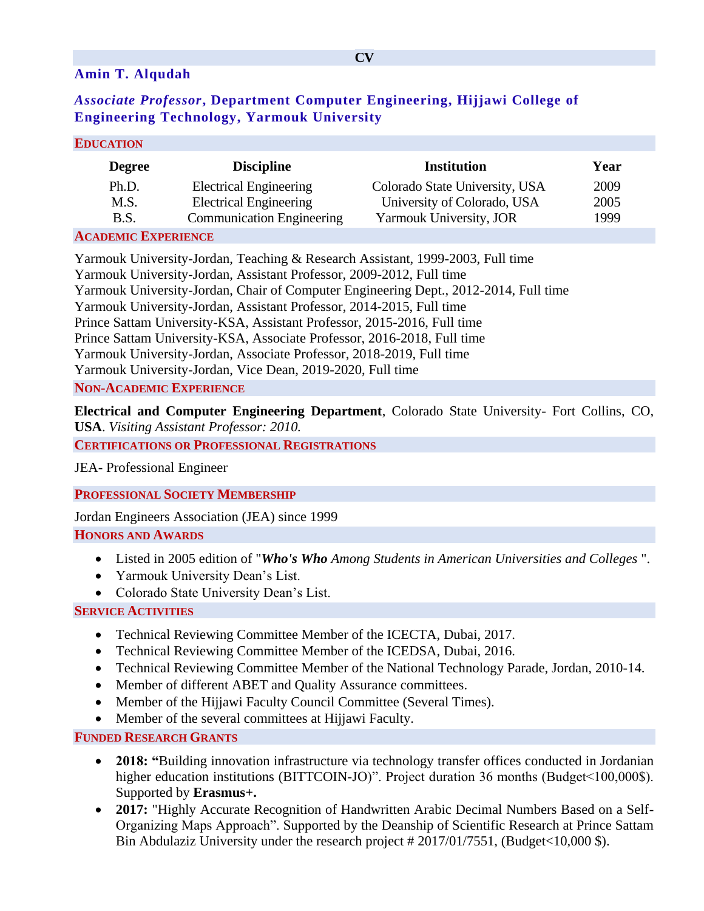## **Amin T. Alqudah**

# *Associate Professor***, Department Computer Engineering, Hijjawi College of Engineering Technology, Yarmouk University**

| <b>EDUCATION</b> |
|------------------|
|------------------|

| <b>Degree</b>  | <b>Discipline</b>                | Institution                    | Year |  |
|----------------|----------------------------------|--------------------------------|------|--|
| Ph.D.          | <b>Electrical Engineering</b>    | Colorado State University, USA | 2009 |  |
| M.S.           | <b>Electrical Engineering</b>    | University of Colorado, USA    | 2005 |  |
| B.S.           | <b>Communication Engineering</b> | Yarmouk University, JOR        | 1999 |  |
| $\sum_{i=1}^n$ |                                  |                                |      |  |

#### **ACADEMIC EXPERIENCE**

Yarmouk University-Jordan, Teaching & Research Assistant, 1999-2003, Full time Yarmouk University-Jordan, Assistant Professor, 2009-2012, Full time Yarmouk University-Jordan, Chair of Computer Engineering Dept., 2012-2014, Full time Yarmouk University-Jordan, Assistant Professor, 2014-2015, Full time Prince Sattam University-KSA, Assistant Professor, 2015-2016, Full time Prince Sattam University-KSA, Associate Professor, 2016-2018, Full time Yarmouk University-Jordan, Associate Professor, 2018-2019, Full time Yarmouk University-Jordan, Vice Dean, 2019-2020, Full time **NON-ACADEMIC EXPERIENCE**

**Electrical and Computer Engineering Department**, Colorado State University- Fort Collins, CO, **USA**. *Visiting Assistant Professor: 2010.* 

**CERTIFICATIONS OR PROFESSIONAL REGISTRATIONS**

JEA- Professional Engineer

**PROFESSIONAL SOCIETY MEMBERSHIP**

Jordan Engineers Association (JEA) since 1999

### **HONORS AND AWARDS**

- Listed in 2005 edition of "*Who's Who Among Students in American Universities and Colleges* ".
- Yarmouk University Dean's List.
- Colorado State University Dean's List.

### **SERVICE ACTIVITIES**

- Technical Reviewing Committee Member of the ICECTA, Dubai, 2017.
- Technical Reviewing Committee Member of the ICEDSA, Dubai, 2016.
- Technical Reviewing Committee Member of the National Technology Parade, Jordan, 2010-14.
- Member of different ABET and Quality Assurance committees.
- Member of the Hijjawi Faculty Council Committee (Several Times).
- Member of the several committees at Hijjawi Faculty.

### **FUNDED RESEARCH GRANTS**

- **2018:** "Building innovation infrastructure via technology transfer offices conducted in Jordanian higher education institutions (BITTCOIN-JO)". Project duration 36 months (Budget < 100,000\$). Supported by **Erasmus+.**
- **2017:** "Highly Accurate Recognition of Handwritten Arabic Decimal Numbers Based on a Self-Organizing Maps Approach". Supported by the Deanship of Scientific Research at Prince Sattam Bin Abdulaziz University under the research project # 2017/01/7551, (Budget<10,000 \$).